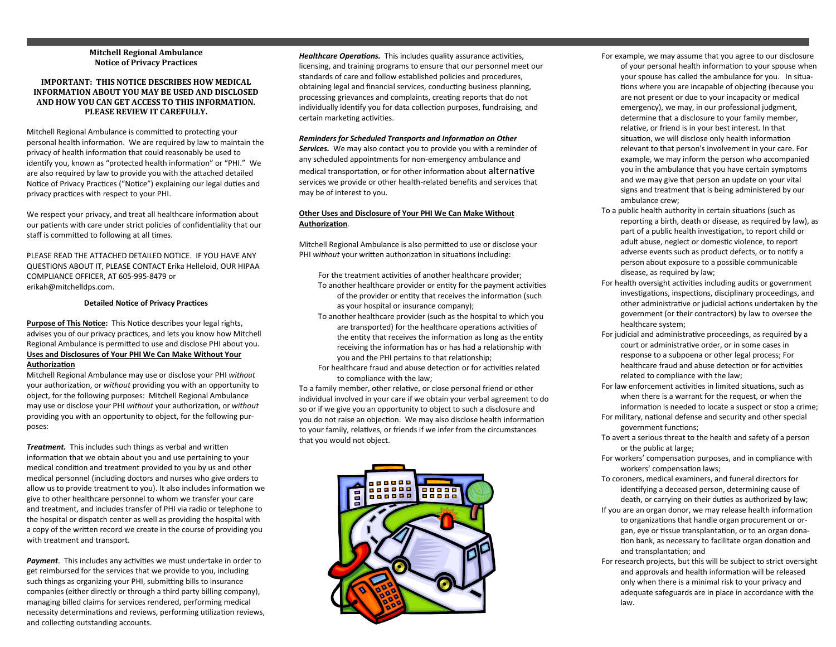## **Mitchell Regional Ambulance Notice of Privacy Practices**

## **IMPORTANT: THIS NOTICE DESCRIBES HOW MEDICAL INFORMATION ABOUT YOU MAY BE USED AND DISCLOSED AND HOW YOU CAN GET ACCESS TO THIS INFORMATION. PLEASE REVIEW IT CAREFULLY.**

Mitchell Regional Ambulance is committed to protecting your personal health information. We are required by law to maintain the privacy of health information that could reasonably be used to identify you, known as "protected health information" or "PHI." We are also required by law to provide you with the attached detailed Notice of Privacy Practices ("Notice") explaining our legal duties and privacy practices with respect to your PHI.

We respect your privacy, and treat all healthcare information about our patients with care under strict policies of confidentiality that our staff is committed to following at all times.

PLEASE READ THE ATTACHED DETAILED NOTICE. IF YOU HAVE ANY QUESTIONS ABOUT IT, PLEASE CONTACT Erika Helleloid, OUR HIPAA COMPLIANCE OFFICER, AT 605-995-8479 or erikah@mitchelldps.com.

# **Detailed Notice of Privacy Practices**

**Purpose of This Notice:**This Notice describes your legal rights, advises you of our privacy practices, and lets you know how Mitchell Regional Ambulance is permitted to use and disclose PHI about you. **Uses and Disclosures of Your PHI We Can Make Without Your Authorization**

Mitchell Regional Ambulance may use or disclose your PHI *without* your authorization, or *without* providing you with an opportunity to object, for the following purposes: Mitchell Regional Ambulance may use or disclose your PHI *without* your authorization, or *without* providing you with an opportunity to object, for the following purposes:

*Treatment.* This includes such things as verbal and written information that we obtain about you and use pertaining to your medical condition and treatment provided to you by us and other medical personnel (including doctors and nurses who give orders to allow us to provide treatment to you). It also includes information we give to other healthcare personnel to whom we transfer your care and treatment, and includes transfer of PHI via radio or telephone to the hospital or dispatch center as well as providing the hospital with a copy of the written record we create in the course of providing you with treatment and transport.

*Payment*. This includes any activities we must undertake in order to get reimbursed for the services that we provide to you, including such things as organizing your PHI, submitting bills to insurance companies (either directly or through a third party billing company), managing billed claims for services rendered, performing medical necessity determinations and reviews, performing utilization reviews, and collecting outstanding accounts.

*Healthcare Operations.* This includes quality assurance activities. licensing, and training programs to ensure that our personnel meet our standards of care and follow established policies and procedures, obtaining legal and financial services, conducting business planning, processing grievances and complaints, creating reports that do not individually identify you for data collection purposes, fundraising, and certain marketing activities.

### *Reminders for Scheduled Transports and Information on Other*

*Services.* We may also contact you to provide you with a reminder of any scheduled appointments for non-emergency ambulance and medical transportation, or for other information about alternative services we provide or other health-related benefits and services that may be of interest to you.

## **Other Uses and Disclosure of Your PHI We Can Make Without Authorization***.*

Mitchell Regional Ambulance is also permitted to use or disclose your PHI *without* your written authorization in situations including:

For the treatment activities of another healthcare provider;

- To another healthcare provider or entity for the payment activities of the provider or entity that receives the information (such as your hospital or insurance company);
- To another healthcare provider (such as the hospital to which you are transported) for the healthcare operations activities of the entity that receives the information as long as the entity receiving the information has or has had a relationship with you and the PHI pertains to that relationship;
- For healthcare fraud and abuse detection or for activities related to compliance with the law;

To a family member, other relative, or close personal friend or other individual involved in your care if we obtain your verbal agreement to do so or if we give you an opportunity to object to such a disclosure and you do not raise an objection. We may also disclose health information to your family, relatives, or friends if we infer from the circumstances that you would not object.



- For example, we may assume that you agree to our disclosure of your personal health information to your spouse when your spouse has called the ambulance for you. In situations where you are incapable of objecting (because you are not present or due to your incapacity or medical emergency), we may, in our professional judgment, determine that a disclosure to your family member, relative, or friend is in your best interest. In that situation, we will disclose only health information relevant to that person's involvement in your care. For example, we may inform the person who accompanied you in the ambulance that you have certain symptoms and we may give that person an update on your vital signs and treatment that is being administered by our ambulance crew;
- To a public health authority in certain situations (such as reporting a birth, death or disease, as required by law), as part of a public health investigation, to report child or adult abuse, neglect or domestic violence, to report adverse events such as product defects, or to notify a person about exposure to a possible communicable disease, as required by law;
- For health oversight activities including audits or government investigations, inspections, disciplinary proceedings, and other administrative or judicial actions undertaken by the government (or their contractors) by law to oversee the healthcare system;
- For judicial and administrative proceedings, as required by a court or administrative order, or in some cases in response to a subpoena or other legal process; For healthcare fraud and abuse detection or for activities related to compliance with the law;
- For law enforcement activities in limited situations, such as when there is a warrant for the request, or when the information is needed to locate a suspect or stop a crime;
- For military, national defense and security and other special government functions;
- To avert a serious threat to the health and safety of a person or the public at large;
- For workers' compensation purposes, and in compliance with workers' compensation laws;
- To coroners, medical examiners, and funeral directors for identifying a deceased person, determining cause of death, or carrying on their duties as authorized by law;
- If you are an organ donor, we may release health information to organizations that handle organ procurement or organ, eye or tissue transplantation, or to an organ donation bank, as necessary to facilitate organ donation and and transplantation; and
- For research projects, but this will be subject to strict oversight and approvals and health information will be released only when there is a minimal risk to your privacy and adequate safeguards are in place in accordance with the law.